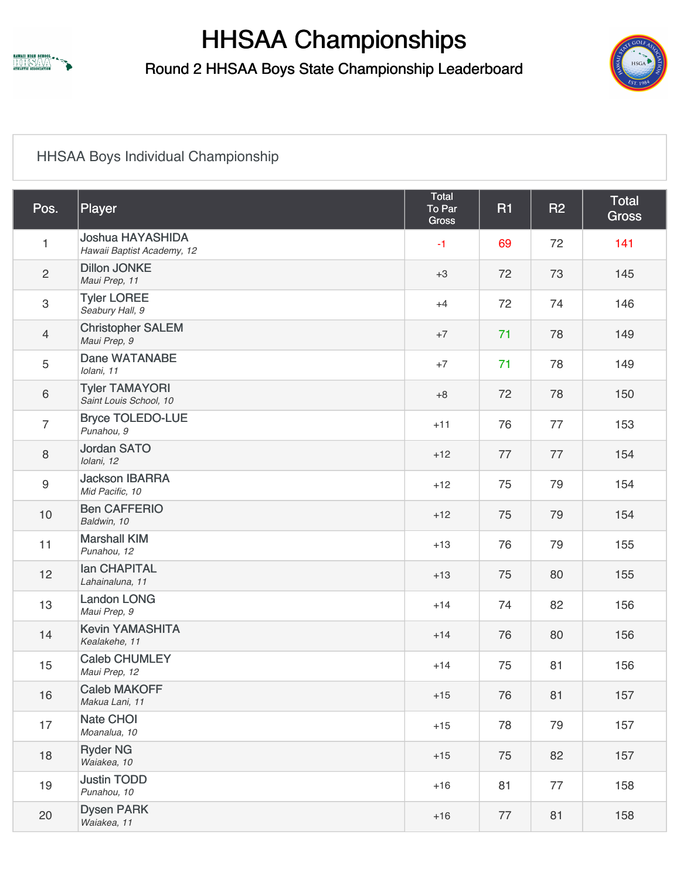

Round 2 HHSAA Boys State Championship Leaderboard



#### [HHSAA Boys Individual Championship](https://static.golfgenius.com/v2tournaments/2555114?called_from=&round_index=4)

| Pos.           | Player                                                | <b>Total</b><br>To Par<br><b>Gross</b> | <b>R1</b> | <b>R2</b> | Total<br><b>Gross</b> |  |
|----------------|-------------------------------------------------------|----------------------------------------|-----------|-----------|-----------------------|--|
| $\mathbf{1}$   | <b>Joshua HAYASHIDA</b><br>Hawaii Baptist Academy, 12 | $-1$                                   | 69        | 72        | 141                   |  |
| $\sqrt{2}$     | <b>Dillon JONKE</b><br>Maui Prep, 11                  | $+3$                                   | 72        | 73        | 145                   |  |
| $\mathsf 3$    | <b>Tyler LOREE</b><br>Seabury Hall, 9                 | $+4$                                   | 72        | 74        | 146                   |  |
| $\overline{4}$ | <b>Christopher SALEM</b><br>Maui Prep, 9              | $+7$                                   | 71        | 78        | 149                   |  |
| 5              | Dane WATANABE<br>Iolani, 11                           | $+7$                                   | 71        | 78        | 149                   |  |
| $\,6\,$        | <b>Tyler TAMAYORI</b><br>Saint Louis School, 10       | $+8$                                   | 72        | 78        | 150                   |  |
| $\overline{7}$ | <b>Bryce TOLEDO-LUE</b><br>Punahou, 9                 | $+11$                                  | 76        | 77        | 153                   |  |
| $\,8\,$        | <b>Jordan SATO</b><br>Iolani, 12                      | $+12$                                  | 77        | 77        | 154                   |  |
| $9\,$          | <b>Jackson IBARRA</b><br>Mid Pacific, 10              | $+12$                                  | 75        | 79        | 154                   |  |
| 10             | <b>Ben CAFFERIO</b><br>Baldwin, 10                    | $+12$                                  | 75        | 79        | 154                   |  |
| 11             | <b>Marshall KIM</b><br>Punahou, 12                    | $+13$                                  | 76        | 79        | 155                   |  |
| 12             | <b>lan CHAPITAL</b><br>Lahainaluna, 11                | $+13$                                  | 75        | 80        | 155                   |  |
| 13             | <b>Landon LONG</b><br>Maui Prep, 9                    | $+14$                                  | 74        | 82        | 156                   |  |
| 14             | <b>Kevin YAMASHITA</b><br>Kealakehe, 11               | $+14$                                  | 76        | 80        | 156                   |  |
| 15             | <b>Caleb CHUMLEY</b><br>Maui Prep, 12                 | $+14$                                  | 75        | 81        | 156                   |  |
| 16             | <b>Caleb MAKOFF</b><br>Makua Lani, 11                 | $+15$                                  | 76        | 81        | 157                   |  |
| 17             | Nate CHOI<br>Moanalua, 10                             | $+15$                                  | 78        | 79        | 157                   |  |
| 18             | <b>Ryder NG</b><br>Waiakea, 10                        | $+15$                                  | 75        | 82        | 157                   |  |
| 19             | <b>Justin TODD</b><br>Punahou, 10                     | $+16$                                  | 81        | 77        | 158                   |  |
| 20             | <b>Dysen PARK</b><br>Waiakea, 11                      | $+16$                                  | 77        | 81        | 158                   |  |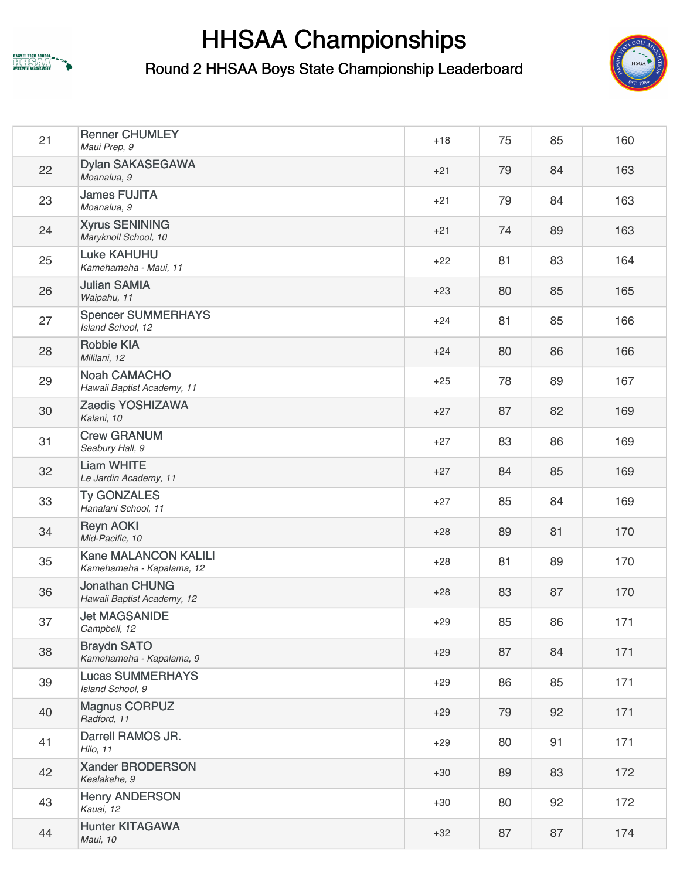



| 21 | <b>Renner CHUMLEY</b><br>Maui Prep, 9                    | $+18$ | 75 | 85 | 160 |
|----|----------------------------------------------------------|-------|----|----|-----|
| 22 | <b>Dylan SAKASEGAWA</b><br>Moanalua, 9                   | $+21$ | 79 | 84 | 163 |
| 23 | <b>James FUJITA</b><br>Moanalua, 9                       | $+21$ | 79 | 84 | 163 |
| 24 | <b>Xyrus SENINING</b><br>Maryknoll School, 10            | $+21$ | 74 | 89 | 163 |
| 25 | <b>Luke KAHUHU</b><br>Kamehameha - Maui, 11              | $+22$ | 81 | 83 | 164 |
| 26 | <b>Julian SAMIA</b><br>Waipahu, 11                       | $+23$ | 80 | 85 | 165 |
| 27 | <b>Spencer SUMMERHAYS</b><br>Island School, 12           | $+24$ | 81 | 85 | 166 |
| 28 | <b>Robbie KIA</b><br>Mililani, 12                        | $+24$ | 80 | 86 | 166 |
| 29 | <b>Noah CAMACHO</b><br>Hawaii Baptist Academy, 11        | $+25$ | 78 | 89 | 167 |
| 30 | Zaedis YOSHIZAWA<br>Kalani, 10                           | $+27$ | 87 | 82 | 169 |
| 31 | <b>Crew GRANUM</b><br>Seabury Hall, 9                    | $+27$ | 83 | 86 | 169 |
| 32 | <b>Liam WHITE</b><br>Le Jardin Academy, 11               | $+27$ | 84 | 85 | 169 |
| 33 | <b>Ty GONZALES</b><br>Hanalani School, 11                | $+27$ | 85 | 84 | 169 |
| 34 | <b>Reyn AOKI</b><br>Mid-Pacific, 10                      | $+28$ | 89 | 81 | 170 |
| 35 | <b>Kane MALANCON KALILI</b><br>Kamehameha - Kapalama, 12 | $+28$ | 81 | 89 | 170 |
| 36 | <b>Jonathan CHUNG</b><br>Hawaii Baptist Academy, 12      | $+28$ | 83 | 87 | 170 |
| 37 | <b>Jet MAGSANIDE</b><br>Campbell, 12                     | $+29$ | 85 | 86 | 171 |
| 38 | <b>Braydn SATO</b><br>Kamehameha - Kapalama, 9           | $+29$ | 87 | 84 | 171 |
| 39 | <b>Lucas SUMMERHAYS</b><br>Island School, 9              | $+29$ | 86 | 85 | 171 |
| 40 | <b>Magnus CORPUZ</b><br>Radford, 11                      | $+29$ | 79 | 92 | 171 |
| 41 | Darrell RAMOS JR.<br>Hilo, 11                            | $+29$ | 80 | 91 | 171 |
| 42 | Xander BRODERSON<br>Kealakehe, 9                         | $+30$ | 89 | 83 | 172 |
| 43 | <b>Henry ANDERSON</b><br>Kauai, 12                       | $+30$ | 80 | 92 | 172 |
| 44 | <b>Hunter KITAGAWA</b><br>Maui, 10                       | $+32$ | 87 | 87 | 174 |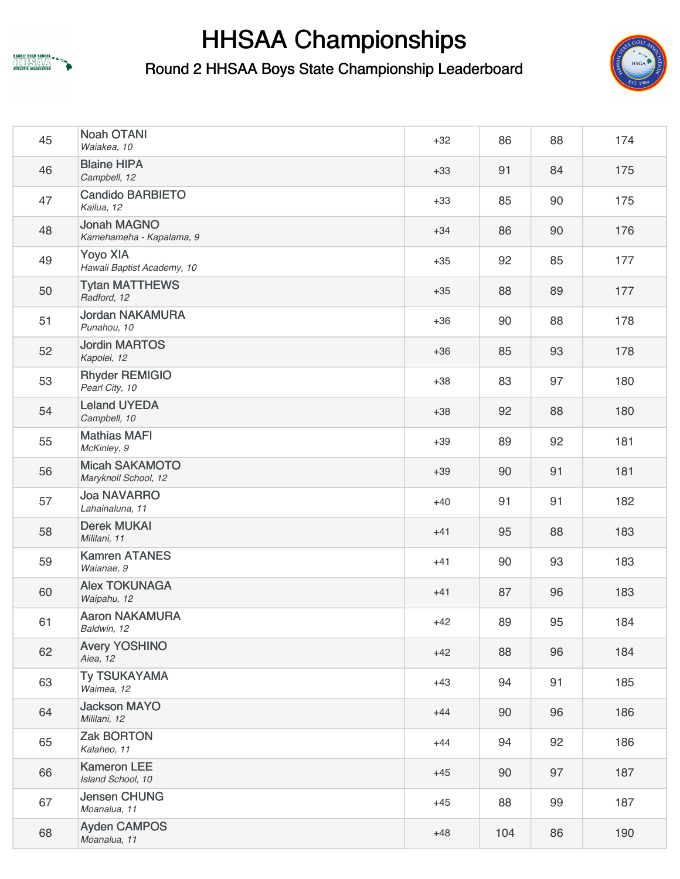



| 45 | <b>Noah OTANI</b><br>Waiakea, 10               | $+32$ | 86  | 88 | 174 |
|----|------------------------------------------------|-------|-----|----|-----|
| 46 | <b>Blaine HIPA</b><br>Campbell, 12             | $+33$ | 91  | 84 | 175 |
| 47 | <b>Candido BARBIETO</b><br>Kailua, 12          | $+33$ | 85  | 90 | 175 |
| 48 | <b>Jonah MAGNO</b><br>Kamehameha - Kapalama, 9 | $+34$ | 86  | 90 | 176 |
| 49 | <b>Yoyo XIA</b><br>Hawaii Baptist Academy, 10  | $+35$ | 92  | 85 | 177 |
| 50 | <b>Tytan MATTHEWS</b><br>Radford, 12           | $+35$ | 88  | 89 | 177 |
| 51 | <b>Jordan NAKAMURA</b><br>Punahou, 10          | $+36$ | 90  | 88 | 178 |
| 52 | <b>Jordin MARTOS</b><br>Kapolei, 12            | $+36$ | 85  | 93 | 178 |
| 53 | <b>Rhyder REMIGIO</b><br>Pearl City, 10        | $+38$ | 83  | 97 | 180 |
| 54 | <b>Leland UYEDA</b><br>Campbell, 10            | $+38$ | 92  | 88 | 180 |
| 55 | <b>Mathias MAFI</b><br>McKinley, 9             | $+39$ | 89  | 92 | 181 |
| 56 | <b>Micah SAKAMOTO</b><br>Maryknoll School, 12  | $+39$ | 90  | 91 | 181 |
| 57 | <b>Joa NAVARRO</b><br>Lahainaluna, 11          | $+40$ | 91  | 91 | 182 |
| 58 | <b>Derek MUKAI</b><br>Mililani, 11             | $+41$ | 95  | 88 | 183 |
| 59 | <b>Kamren ATANES</b><br>Waianae, 9             | $+41$ | 90  | 93 | 183 |
| 60 | <b>Alex TOKUNAGA</b><br>Waipahu, 12            | $+41$ | 87  | 96 | 183 |
| 61 | <b>Aaron NAKAMURA</b><br>Baldwin, 12           | $+42$ | 89  | 95 | 184 |
| 62 | <b>Avery YOSHINO</b><br>Aiea, 12               | $+42$ | 88  | 96 | 184 |
| 63 | <b>Ty TSUKAYAMA</b><br>Waimea, 12              | $+43$ | 94  | 91 | 185 |
| 64 | <b>Jackson MAYO</b><br>Mililani, 12            | $+44$ | 90  | 96 | 186 |
| 65 | <b>Zak BORTON</b><br>Kalaheo, 11               | $+44$ | 94  | 92 | 186 |
| 66 | <b>Kameron LEE</b><br>Island School, 10        | $+45$ | 90  | 97 | 187 |
| 67 | <b>Jensen CHUNG</b><br>Moanalua, 11            | $+45$ | 88  | 99 | 187 |
| 68 | <b>Ayden CAMPOS</b><br>Moanalua, 11            | $+48$ | 104 | 86 | 190 |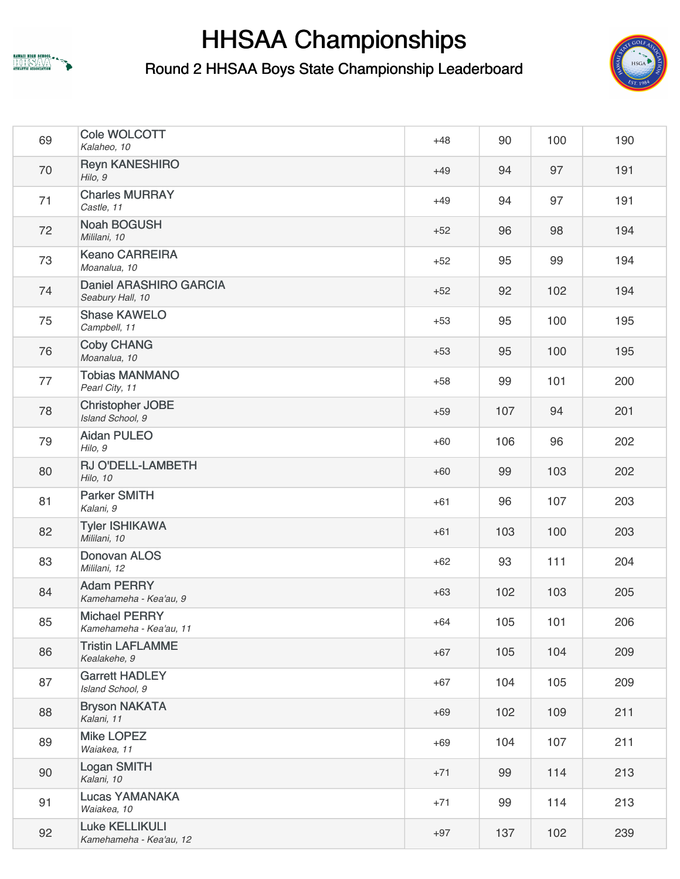



| 69 | Cole WOLCOTT<br>Kalaheo, 10                       | $+48$ | 90  | 100 | 190 |
|----|---------------------------------------------------|-------|-----|-----|-----|
| 70 | <b>Reyn KANESHIRO</b><br>Hilo, 9                  | $+49$ | 94  | 97  | 191 |
| 71 | <b>Charles MURRAY</b><br>Castle, 11               | $+49$ | 94  | 97  | 191 |
| 72 | <b>Noah BOGUSH</b><br>Mililani, 10                | $+52$ | 96  | 98  | 194 |
| 73 | <b>Keano CARREIRA</b><br>Moanalua, 10             | $+52$ | 95  | 99  | 194 |
| 74 | <b>Daniel ARASHIRO GARCIA</b><br>Seabury Hall, 10 | $+52$ | 92  | 102 | 194 |
| 75 | <b>Shase KAWELO</b><br>Campbell, 11               | $+53$ | 95  | 100 | 195 |
| 76 | <b>Coby CHANG</b><br>Moanalua, 10                 | $+53$ | 95  | 100 | 195 |
| 77 | <b>Tobias MANMANO</b><br>Pearl City, 11           | $+58$ | 99  | 101 | 200 |
| 78 | <b>Christopher JOBE</b><br>Island School, 9       | $+59$ | 107 | 94  | 201 |
| 79 | <b>Aidan PULEO</b><br>Hilo, 9                     | $+60$ | 106 | 96  | 202 |
| 80 | RJ O'DELL-LAMBETH<br>Hilo, 10                     | $+60$ | 99  | 103 | 202 |
| 81 | <b>Parker SMITH</b><br>Kalani, 9                  | $+61$ | 96  | 107 | 203 |
| 82 | <b>Tyler ISHIKAWA</b><br>Mililani, 10             | $+61$ | 103 | 100 | 203 |
| 83 | <b>Donovan ALOS</b><br>Mililani, 12               | $+62$ | 93  | 111 | 204 |
| 84 | <b>Adam PERRY</b><br>Kamehameha - Kea'au, 9       | $+63$ | 102 | 103 | 205 |
| 85 | <b>Michael PERRY</b><br>Kamehameha - Kea'au, 11   | $+64$ | 105 | 101 | 206 |
| 86 | <b>Tristin LAFLAMME</b><br>Kealakehe, 9           | $+67$ | 105 | 104 | 209 |
| 87 | <b>Garrett HADLEY</b><br>Island School, 9         | $+67$ | 104 | 105 | 209 |
| 88 | <b>Bryson NAKATA</b><br>Kalani, 11                | $+69$ | 102 | 109 | 211 |
| 89 | <b>Mike LOPEZ</b><br>Waiakea, 11                  | $+69$ | 104 | 107 | 211 |
| 90 | Logan SMITH<br>Kalani, 10                         | $+71$ | 99  | 114 | 213 |
| 91 | Lucas YAMANAKA<br>Waiakea, 10                     | $+71$ | 99  | 114 | 213 |
| 92 | <b>Luke KELLIKULI</b><br>Kamehameha - Kea'au, 12  | $+97$ | 137 | 102 | 239 |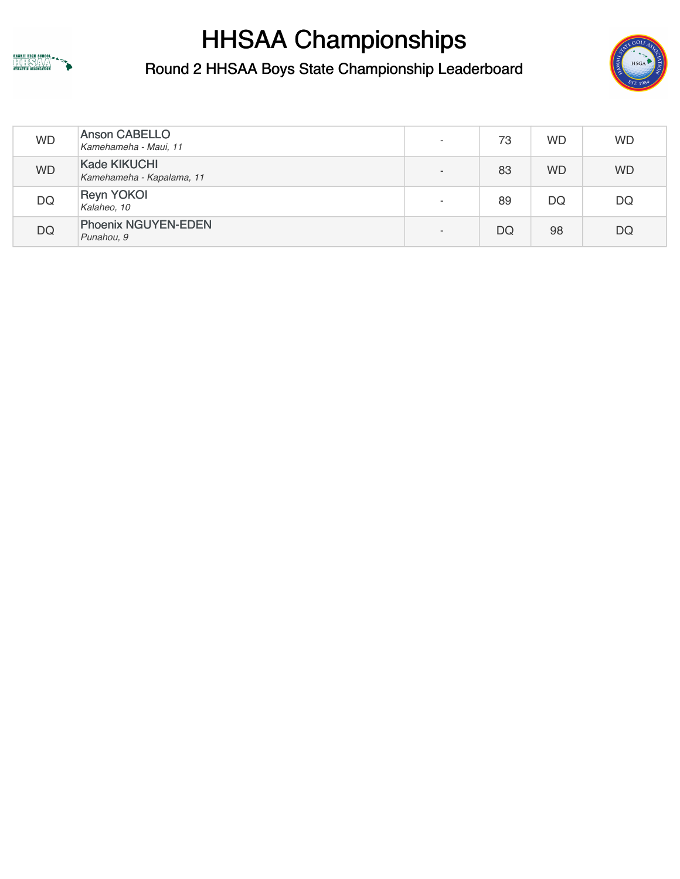



| <b>WD</b> | <b>Anson CABELLO</b><br>Kamehameha - Maui, 11    | 73 | <b>WD</b> | <b>WD</b> |
|-----------|--------------------------------------------------|----|-----------|-----------|
| <b>WD</b> | <b>Kade KIKUCHI</b><br>Kamehameha - Kapalama, 11 | 83 | <b>WD</b> | <b>WD</b> |
| DQ        | <b>Reyn YOKOI</b><br>Kalaheo, 10                 | 89 | DQ        | DQ        |
| <b>DQ</b> | <b>Phoenix NGUYEN-EDEN</b><br>Punahou, 9         | DQ | 98        | <b>DQ</b> |